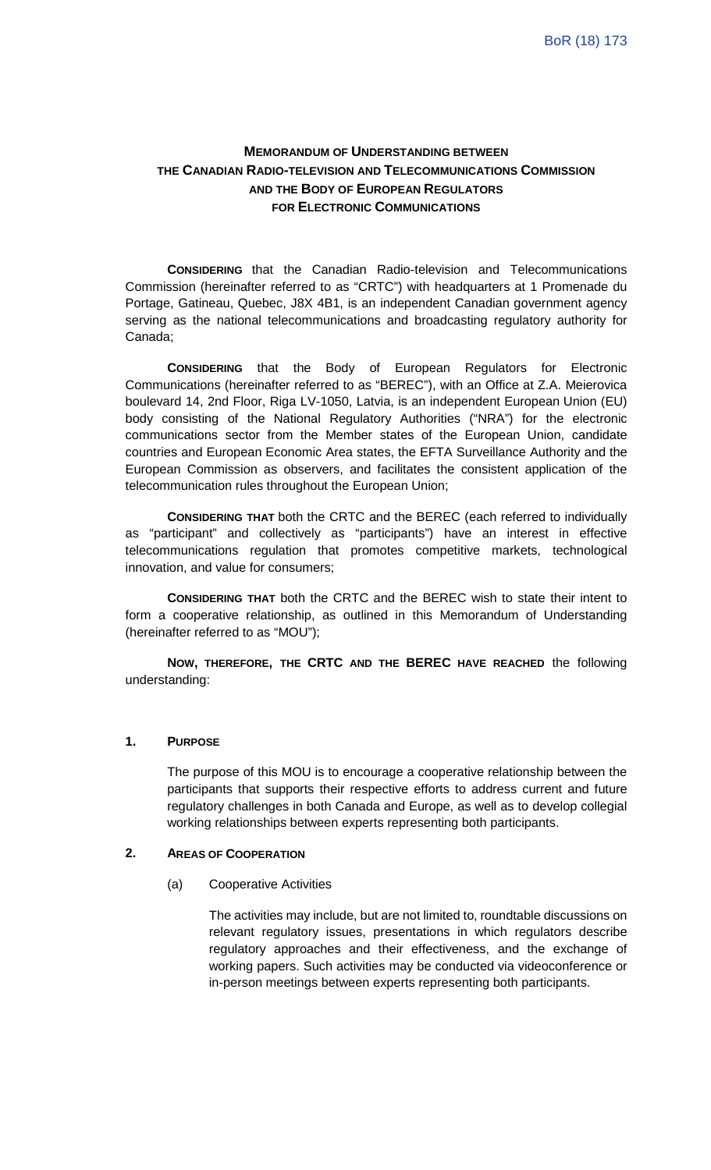# **MEMORANDUM OF UNDERSTANDING BETWEEN THE CANADIAN RADIO-TELEVISION AND TELECOMMUNICATIONS COMMISSION AND THE BODY OF EUROPEAN REGULATORS FOR ELECTRONIC COMMUNICATIONS**

**CONSIDERING** that the Canadian Radio-television and Telecommunications Commission (hereinafter referred to as "CRTC") with headquarters at 1 Promenade du Portage, Gatineau, Quebec, J8X 4B1, is an independent Canadian government agency serving as the national telecommunications and broadcasting regulatory authority for Canada;

**CONSIDERING** that the Body of European Regulators for Electronic Communications (hereinafter referred to as "BEREC"), with an Office at Z.A. Meierovica boulevard 14, 2nd Floor, Riga LV-1050, Latvia, is an independent European Union (EU) body consisting of the National Regulatory Authorities ("NRA") for the electronic communications sector from the Member states of the European Union, candidate countries and European Economic Area states, the EFTA Surveillance Authority and the European Commission as observers, and facilitates the consistent application of the telecommunication rules throughout the European Union;

**CONSIDERING THAT** both the CRTC and the BEREC (each referred to individually as "participant" and collectively as "participants") have an interest in effective telecommunications regulation that promotes competitive markets, technological innovation, and value for consumers;

**CONSIDERING THAT** both the CRTC and the BEREC wish to state their intent to form a cooperative relationship, as outlined in this Memorandum of Understanding (hereinafter referred to as "MOU");

**NOW, THEREFORE, THE CRTC AND THE BEREC HAVE REACHED** the following understanding:

### **1. PURPOSE**

The purpose of this MOU is to encourage a cooperative relationship between the participants that supports their respective efforts to address current and future regulatory challenges in both Canada and Europe, as well as to develop collegial working relationships between experts representing both participants.

#### **2. AREAS OF COOPERATION**

(a) Cooperative Activities

The activities may include, but are not limited to, roundtable discussions on relevant regulatory issues, presentations in which regulators describe regulatory approaches and their effectiveness, and the exchange of working papers. Such activities may be conducted via videoconference or in-person meetings between experts representing both participants.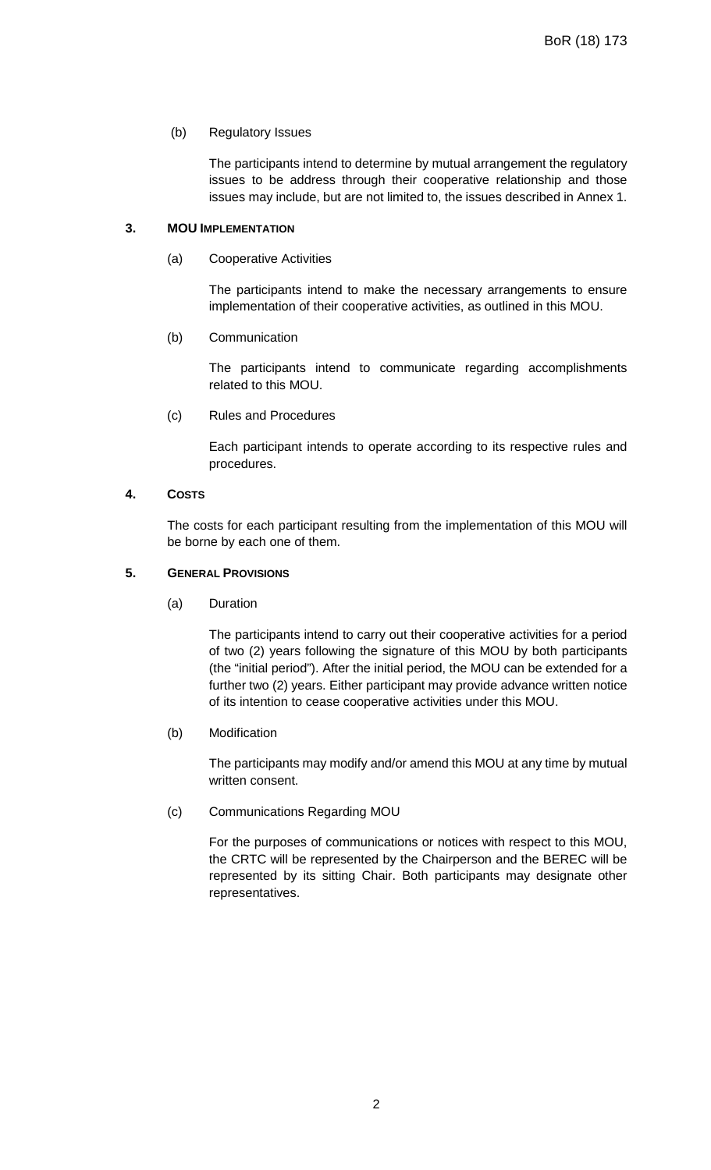### (b) Regulatory Issues

The participants intend to determine by mutual arrangement the regulatory issues to be address through their cooperative relationship and those issues may include, but are not limited to, the issues described in Annex 1.

### **3. MOU IMPLEMENTATION**

(a) Cooperative Activities

The participants intend to make the necessary arrangements to ensure implementation of their cooperative activities, as outlined in this MOU.

(b) Communication

The participants intend to communicate regarding accomplishments related to this MOU.

(c) Rules and Procedures

Each participant intends to operate according to its respective rules and procedures.

**4. COSTS**

The costs for each participant resulting from the implementation of this MOU will be borne by each one of them.

## **5. GENERAL PROVISIONS**

(a) Duration

The participants intend to carry out their cooperative activities for a period of two (2) years following the signature of this MOU by both participants (the "initial period"). After the initial period, the MOU can be extended for a further two (2) years. Either participant may provide advance written notice of its intention to cease cooperative activities under this MOU.

(b) Modification

The participants may modify and/or amend this MOU at any time by mutual written consent.

(c) Communications Regarding MOU

For the purposes of communications or notices with respect to this MOU, the CRTC will be represented by the Chairperson and the BEREC will be represented by its sitting Chair. Both participants may designate other representatives.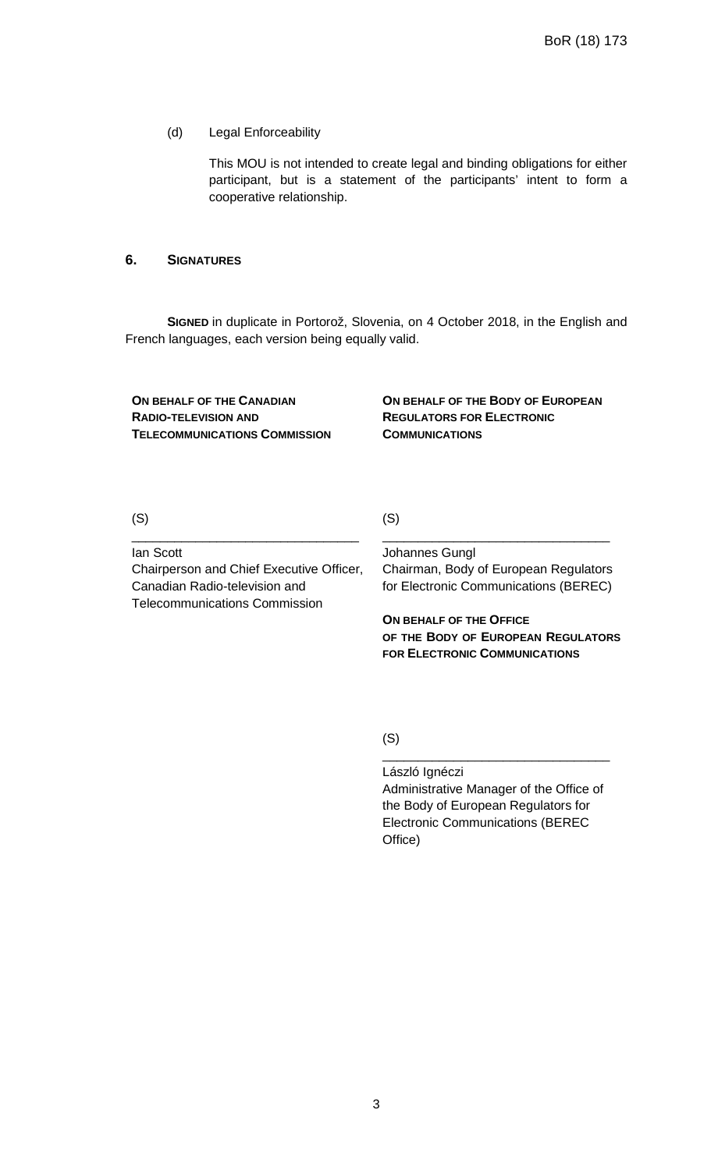### (d) Legal Enforceability

This MOU is not intended to create legal and binding obligations for either participant, but is a statement of the participants' intent to form a cooperative relationship.

### **6. SIGNATURES**

**SIGNED** in duplicate in Portorož, Slovenia, on 4 October 2018, in the English and French languages, each version being equally valid.

**ON BEHALF OF THE CANADIAN RADIO-TELEVISION AND TELECOMMUNICATIONS COMMISSION** **ON BEHALF OF THE BODY OF EUROPEAN REGULATORS FOR ELECTRONIC COMMUNICATIONS**

(S)

(S)

Ian Scott

Chairperson and Chief Executive Officer, Canadian Radio-television and Telecommunications Commission

\_\_\_\_\_\_\_\_\_\_\_\_\_\_\_\_\_\_\_\_\_\_\_\_\_\_\_\_\_\_\_\_

Johannes Gungl Chairman, Body of European Regulators for Electronic Communications (BEREC)

\_\_\_\_\_\_\_\_\_\_\_\_\_\_\_\_\_\_\_\_\_\_\_\_\_\_\_\_\_\_\_\_

**ON BEHALF OF THE OFFICE OF THE BODY OF EUROPEAN REGULATORS FOR ELECTRONIC COMMUNICATIONS**

(S)

László Ignéczi Administrative Manager of the Office of the Body of European Regulators for Electronic Communications (BEREC Office)

\_\_\_\_\_\_\_\_\_\_\_\_\_\_\_\_\_\_\_\_\_\_\_\_\_\_\_\_\_\_\_\_